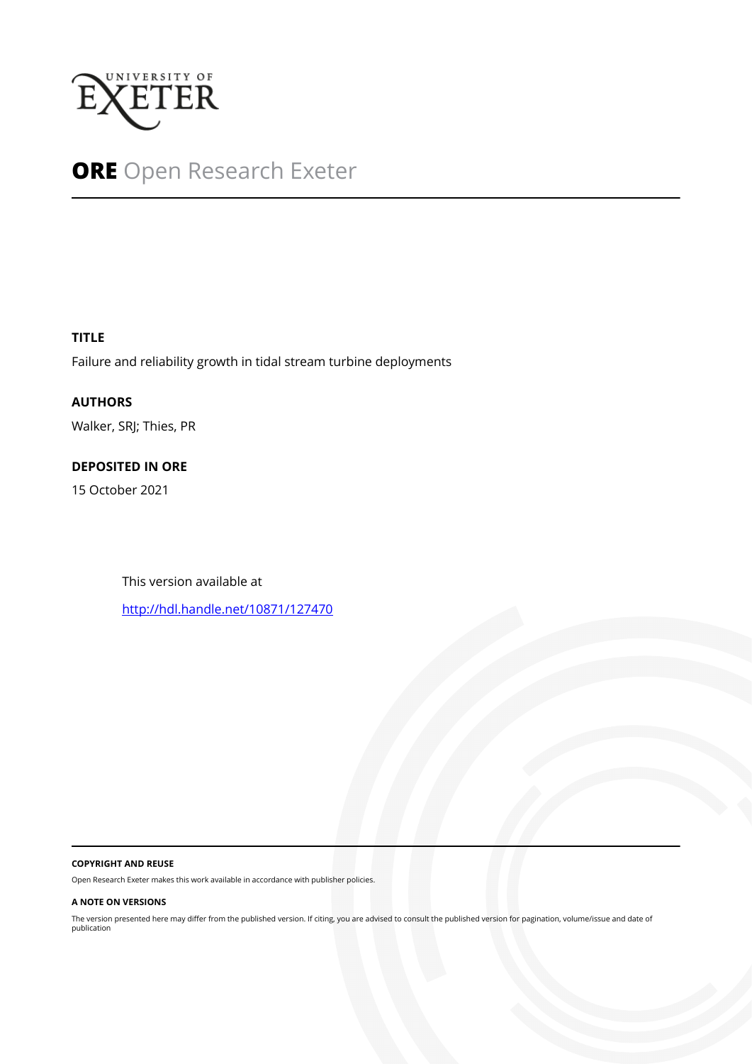

## **ORE** Open Research Exeter

### **TITLE**

Failure and reliability growth in tidal stream turbine deployments

**AUTHORS** Walker, SRJ; Thies, PR

## **DEPOSITED IN ORE**

15 October 2021

This version available at

<http://hdl.handle.net/10871/127470>

#### **COPYRIGHT AND REUSE**

Open Research Exeter makes this work available in accordance with publisher policies.

#### **A NOTE ON VERSIONS**

The version presented here may differ from the published version. If citing, you are advised to consult the published version for pagination, volume/issue and date of publication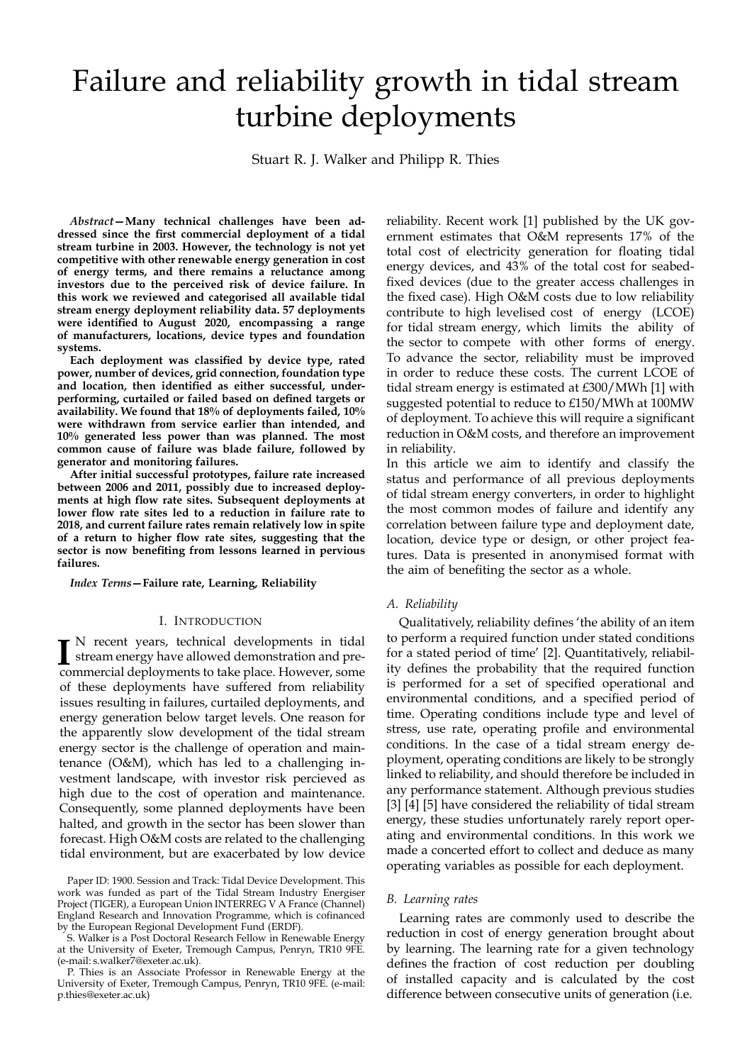# Failure and reliability growth in tidal stream turbine deployments

Stuart R. J. Walker and Philipp R. Thies

*Abstract***—Many technical challenges have been addressed since the first commercial deployment of a tidal stream turbine in 2003. However, the technology is not yet competitive with other renewable energy generation in cost of energy terms, and there remains a reluctance among investors due to the perceived risk of device failure. In this work we reviewed and categorised all available tidal stream energy deployment reliability data. 57 deployments were identified to August 2020, encompassing a range of manufacturers, locations, device types and foundation systems.**

**Each deployment was classified by device type, rated power, number of devices, grid connection, foundation type and location, then identified as either successful, underperforming, curtailed or failed based on defined targets or availability. We found that 18% of deployments failed, 10% were withdrawn from service earlier than intended, and 10% generated less power than was planned. The most common cause of failure was blade failure, followed by generator and monitoring failures.**

**After initial successful prototypes, failure rate increased between 2006 and 2011, possibly due to increased deployments at high flow rate sites. Subsequent deployments at lower flow rate sites led to a reduction in failure rate to 2018, and current failure rates remain relatively low in spite of a return to higher flow rate sites, suggesting that the sector is now benefiting from lessons learned in pervious failures.**

*Index Terms***—Failure rate, Learning, Reliability**

#### I. INTRODUCTION

Internal developments in tidal<br>
stream energy have allowed demonstration and pre-<br>
commercial deployments to take place. However, some N recent years, technical developments in tidal commercial deployments to take place. However, some of these deployments have suffered from reliability issues resulting in failures, curtailed deployments, and energy generation below target levels. One reason for the apparently slow development of the tidal stream energy sector is the challenge of operation and maintenance (O&M), which has led to a challenging investment landscape, with investor risk percieved as high due to the cost of operation and maintenance. Consequently, some planned deployments have been halted, and growth in the sector has been slower than forecast. High O&M costs are related to the challenging tidal environment, but are exacerbated by low device reliability. Recent work [1] published by the UK government estimates that O&M represents 17% of the total cost of electricity generation for floating tidal energy devices, and 43% of the total cost for seabedfixed devices (due to the greater access challenges in the fixed case). High O&M costs due to low reliability contribute to high levelised cost of energy (LCOE) for tidal stream energy, which limits the ability of the sector to compete with other forms of energy. To advance the sector, reliability must be improved in order to reduce these costs. The current LCOE of tidal stream energy is estimated at £300/MWh [1] with suggested potential to reduce to £150/MWh at 100MW of deployment. To achieve this will require a significant reduction in O&M costs, and therefore an improvement in reliability.

In this article we aim to identify and classify the status and performance of all previous deployments of tidal stream energy converters, in order to highlight the most common modes of failure and identify any correlation between failure type and deployment date, location, device type or design, or other project features. Data is presented in anonymised format with the aim of benefiting the sector as a whole.

#### *A. Reliability*

Qualitatively, reliability defines 'the ability of an item to perform a required function under stated conditions for a stated period of time' [2]. Quantitatively, reliability defines the probability that the required function is performed for a set of specified operational and environmental conditions, and a specified period of time. Operating conditions include type and level of stress, use rate, operating profile and environmental conditions. In the case of a tidal stream energy deployment, operating conditions are likely to be strongly linked to reliability, and should therefore be included in any performance statement. Although previous studies [3] [4] [5] have considered the reliability of tidal stream energy, these studies unfortunately rarely report operating and environmental conditions. In this work we made a concerted effort to collect and deduce as many operating variables as possible for each deployment.

#### *B. Learning rates*

Learning rates are commonly used to describe the reduction in cost of energy generation brought about by learning. The learning rate for a given technology defines the fraction of cost reduction per doubling of installed capacity and is calculated by the cost difference between consecutive units of generation (i.e.

Paper ID: 1900. Session and Track: Tidal Device Development. This work was funded as part of the Tidal Stream Industry Energiser Project (TIGER), a European Union INTERREG V A France (Channel) England Research and Innovation Programme, which is cofinanced by the European Regional Development Fund (ERDF).

S. Walker is a Post Doctoral Research Fellow in Renewable Energy at the University of Exeter, Tremough Campus, Penryn, TR10 9FE. (e-mail: s.walker7@exeter.ac.uk).

P. Thies is an Associate Professor in Renewable Energy at the University of Exeter, Tremough Campus, Penryn, TR10 9FE. (e-mail: p.thies@exeter.ac.uk)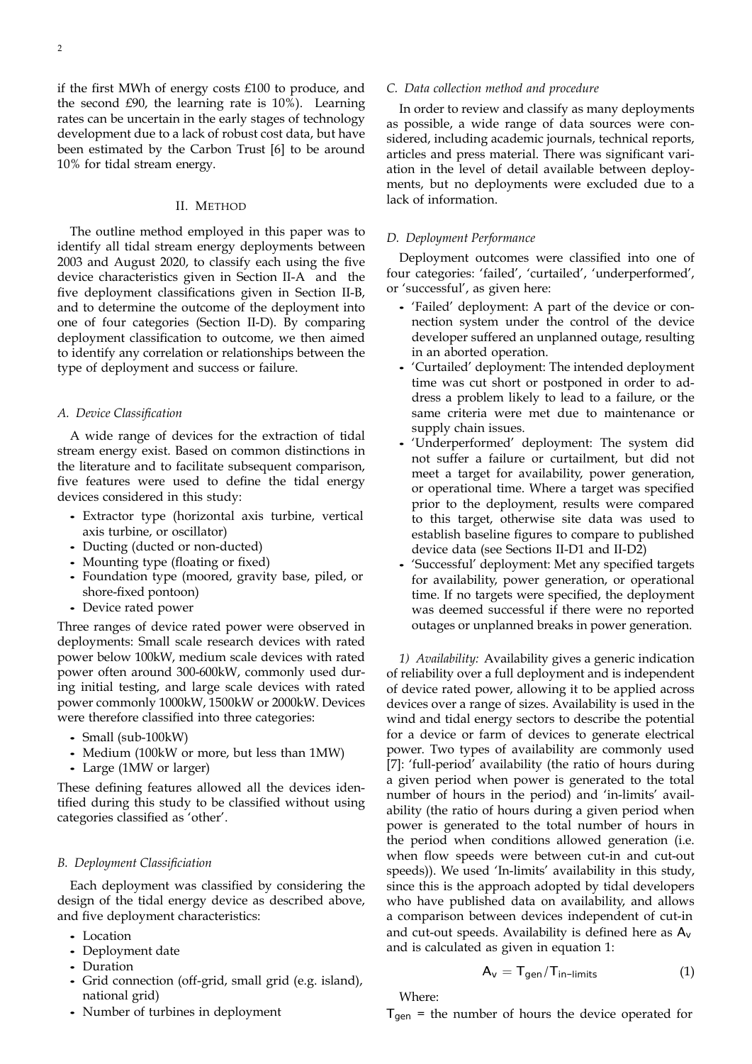if the first MWh of energy costs £100 to produce, and the second £90, the learning rate is 10%). Learning rates can be uncertain in the early stages of technology development due to a lack of robust cost data, but have been estimated by the Carbon Trust [6] to be around 10% for tidal stream energy.

#### II. METHOD

The outline method employed in this paper was to identify all tidal stream energy deployments between 2003 and August 2020, to classify each using the five device characteristics given in Section II-A and the five deployment classifications given in Section II-B, and to determine the outcome of the deployment into one of four categories (Section II-D). By comparing deployment classification to outcome, we then aimed to identify any correlation or relationships between the type of deployment and success or failure.

#### *A. Device Classification*

A wide range of devices for the extraction of tidal stream energy exist. Based on common distinctions in the literature and to facilitate subsequent comparison, five features were used to define the tidal energy devices considered in this study:

- Extractor type (horizontal axis turbine, vertical axis turbine, or oscillator)
- Ducting (ducted or non-ducted)
- Mounting type (floating or fixed)
- Foundation type (moored, gravity base, piled, or shore-fixed pontoon)
- Device rated power

Three ranges of device rated power were observed in deployments: Small scale research devices with rated power below 100kW, medium scale devices with rated power often around 300-600kW, commonly used during initial testing, and large scale devices with rated power commonly 1000kW, 1500kW or 2000kW. Devices were therefore classified into three categories:

- Small (sub-100kW)
- Medium (100kW or more, but less than 1MW)
- Large (1MW or larger)

These defining features allowed all the devices identified during this study to be classified without using categories classified as 'other'.

#### *B. Deployment Classificiation*

Each deployment was classified by considering the design of the tidal energy device as described above, and five deployment characteristics:

- Location
- Deployment date
- Duration
- Grid connection (off-grid, small grid (e.g. island), national grid)
- Number of turbines in deployment

#### *C. Data collection method and procedure*

In order to review and classify as many deployments as possible, a wide range of data sources were considered, including academic journals, technical reports, articles and press material. There was significant variation in the level of detail available between deployments, but no deployments were excluded due to a lack of information.

#### *D. Deployment Performance*

Deployment outcomes were classified into one of four categories: 'failed', 'curtailed', 'underperformed', or 'successful', as given here:

- 'Failed' deployment: A part of the device or connection system under the control of the device developer suffered an unplanned outage, resulting in an aborted operation.
- 'Curtailed' deployment: The intended deployment time was cut short or postponed in order to address a problem likely to lead to a failure, or the same criteria were met due to maintenance or supply chain issues.
- 'Underperformed' deployment: The system did not suffer a failure or curtailment, but did not meet a target for availability, power generation, or operational time. Where a target was specified prior to the deployment, results were compared to this target, otherwise site data was used to establish baseline figures to compare to published device data (see Sections II-D1 and II-D2)
- 'Successful' deployment: Met any specified targets for availability, power generation, or operational time. If no targets were specified, the deployment was deemed successful if there were no reported outages or unplanned breaks in power generation.

*1) Availability:* Availability gives a generic indication of reliability over a full deployment and is independent of device rated power, allowing it to be applied across devices over a range of sizes. Availability is used in the wind and tidal energy sectors to describe the potential for a device or farm of devices to generate electrical power. Two types of availability are commonly used [7]: 'full-period' availability (the ratio of hours during a given period when power is generated to the total number of hours in the period) and 'in-limits' availability (the ratio of hours during a given period when power is generated to the total number of hours in the period when conditions allowed generation (i.e. when flow speeds were between cut-in and cut-out speeds)). We used 'In-limits' availability in this study, since this is the approach adopted by tidal developers who have published data on availability, and allows a comparison between devices independent of cut-in and cut-out speeds. Availability is defined here as A*<sup>v</sup>* and is calculated as given in equation 1:

$$
A_V = T_{gen}/T_{in-limits}
$$
 (1)

Where:

T*gen* = the number of hours the device operated for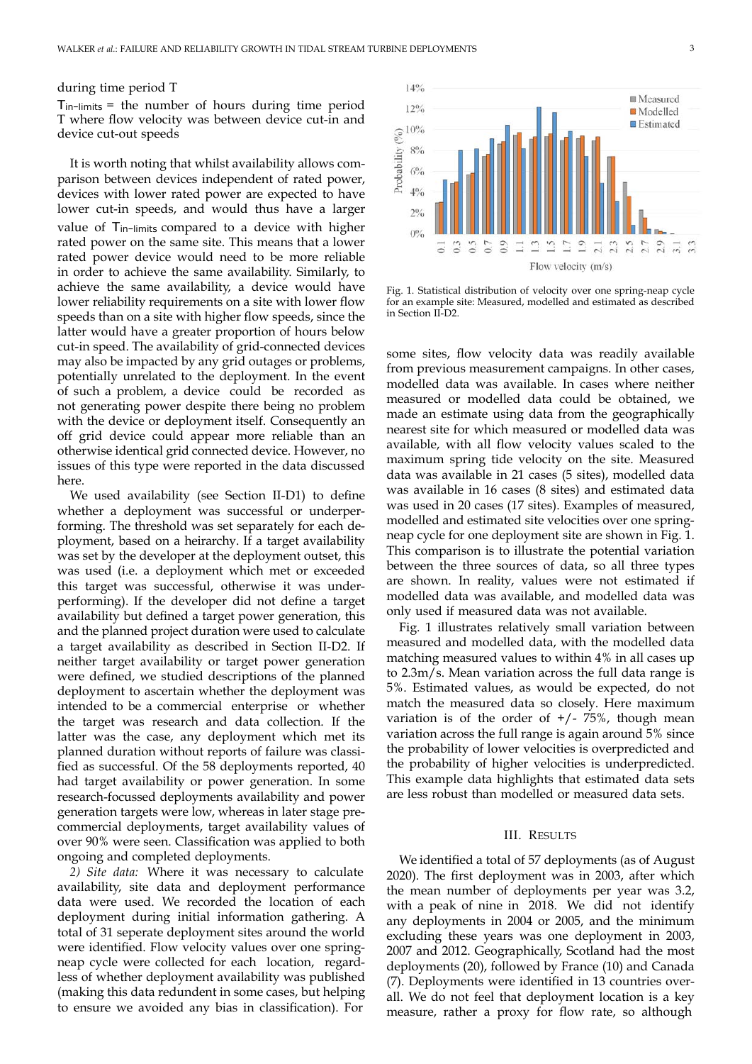#### during time period T

T*in*−*limits* = the number of hours during time period T where flow velocity was between device cut-in and device cut-out speeds

It is worth noting that whilst availability allows comparison between devices independent of rated power, devices with lower rated power are expected to have lower cut-in speeds, and would thus have a larger value of T*in*−*limits* compared to a device with higher rated power on the same site. This means that a lower rated power device would need to be more reliable in order to achieve the same availability. Similarly, to achieve the same availability, a device would have lower reliability requirements on a site with lower flow speeds than on a site with higher flow speeds, since the latter would have a greater proportion of hours below cut-in speed. The availability of grid-connected devices may also be impacted by any grid outages or problems, potentially unrelated to the deployment. In the event of such a problem, a device could be recorded as not generating power despite there being no problem with the device or deployment itself. Consequently an off grid device could appear more reliable than an otherwise identical grid connected device. However, no issues of this type were reported in the data discussed here.

We used availability (see Section II-D1) to define whether a deployment was successful or underperforming. The threshold was set separately for each deployment, based on a heirarchy. If a target availability was set by the developer at the deployment outset, this was used (i.e. a deployment which met or exceeded this target was successful, otherwise it was underperforming). If the developer did not define a target availability but defined a target power generation, this and the planned project duration were used to calculate a target availability as described in Section II-D2. If neither target availability or target power generation were defined, we studied descriptions of the planned deployment to ascertain whether the deployment was intended to be a commercial enterprise or whether the target was research and data collection. If the latter was the case, any deployment which met its planned duration without reports of failure was classified as successful. Of the 58 deployments reported, 40 had target availability or power generation. In some research-focussed deployments availability and power generation targets were low, whereas in later stage precommercial deployments, target availability values of over 90% were seen. Classification was applied to both ongoing and completed deployments.

*2) Site data:* Where it was necessary to calculate availability, site data and deployment performance data were used. We recorded the location of each deployment during initial information gathering. A total of 31 seperate deployment sites around the world were identified. Flow velocity values over one springneap cycle were collected for each location, regardless of whether deployment availability was published (making this data redundent in some cases, but helping to ensure we avoided any bias in classification). For



Fig. 1. Statistical distribution of velocity over one spring-neap cycle for an example site: Measured, modelled and estimated as described in Section II-D2.

some sites, flow velocity data was readily available from previous measurement campaigns. In other cases, modelled data was available. In cases where neither measured or modelled data could be obtained, we made an estimate using data from the geographically nearest site for which measured or modelled data was available, with all flow velocity values scaled to the maximum spring tide velocity on the site. Measured data was available in 21 cases (5 sites), modelled data was available in 16 cases (8 sites) and estimated data was used in 20 cases (17 sites). Examples of measured, modelled and estimated site velocities over one springneap cycle for one deployment site are shown in Fig. 1. This comparison is to illustrate the potential variation between the three sources of data, so all three types are shown. In reality, values were not estimated if modelled data was available, and modelled data was only used if measured data was not available.

Fig. 1 illustrates relatively small variation between measured and modelled data, with the modelled data matching measured values to within 4% in all cases up to 2.3m/s. Mean variation across the full data range is 5%. Estimated values, as would be expected, do not match the measured data so closely. Here maximum variation is of the order of  $+/$ - 75%, though mean variation across the full range is again around 5% since the probability of lower velocities is overpredicted and the probability of higher velocities is underpredicted. This example data highlights that estimated data sets are less robust than modelled or measured data sets.

#### III. RESULTS

We identified a total of 57 deployments (as of August 2020). The first deployment was in 2003, after which the mean number of deployments per year was 3.2, with a peak of nine in 2018. We did not identify any deployments in 2004 or 2005, and the minimum excluding these years was one deployment in 2003, 2007 and 2012. Geographically, Scotland had the most deployments (20), followed by France (10) and Canada (7). Deployments were identified in 13 countries overall. We do not feel that deployment location is a key measure, rather a proxy for flow rate, so although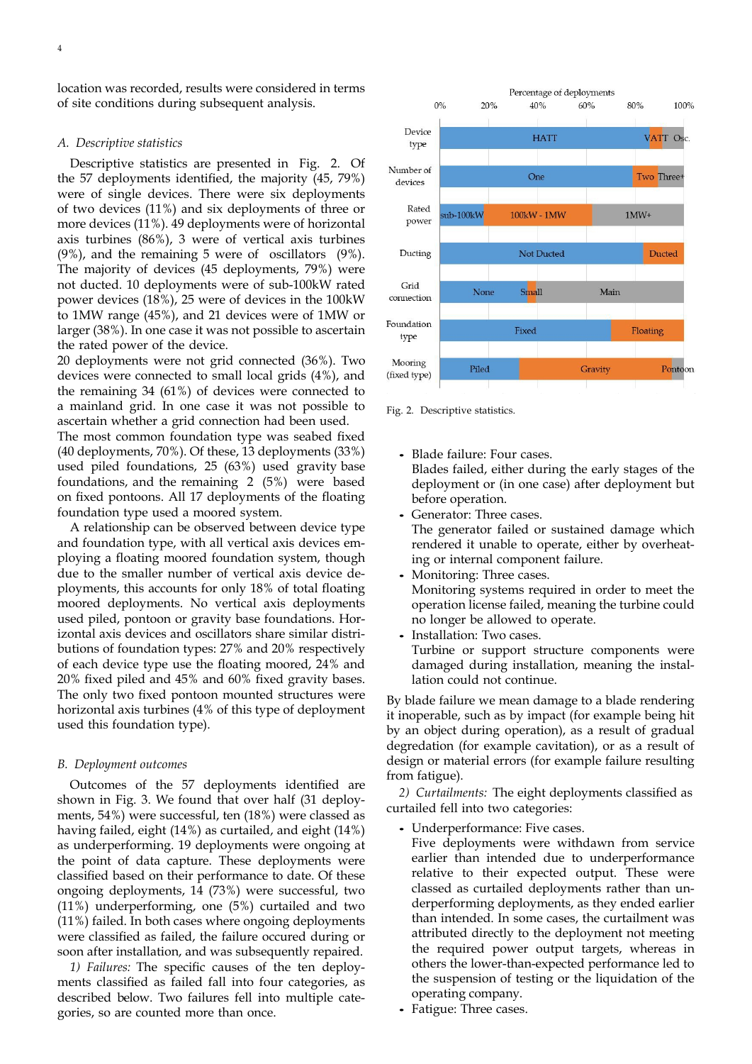location was recorded, results were considered in terms of site conditions during subsequent analysis.

#### *A. Descriptive statistics*

Descriptive statistics are presented in Fig. 2. Of the 57 deployments identified, the majority (45, 79%) were of single devices. There were six deployments of two devices (11%) and six deployments of three or more devices (11%). 49 deployments were of horizontal axis turbines (86%), 3 were of vertical axis turbines (9%), and the remaining 5 were of oscillators (9%). The majority of devices (45 deployments, 79%) were not ducted. 10 deployments were of sub-100kW rated power devices (18%), 25 were of devices in the 100kW to 1MW range (45%), and 21 devices were of 1MW or larger (38%). In one case it was not possible to ascertain the rated power of the device.

20 deployments were not grid connected (36%). Two devices were connected to small local grids (4%), and the remaining 34 (61%) of devices were connected to a mainland grid. In one case it was not possible to ascertain whether a grid connection had been used.

The most common foundation type was seabed fixed (40 deployments, 70%). Of these, 13 deployments (33%) used piled foundations, 25 (63%) used gravity base foundations, and the remaining 2 (5%) were based on fixed pontoons. All 17 deployments of the floating foundation type used a moored system.

A relationship can be observed between device type and foundation type, with all vertical axis devices employing a floating moored foundation system, though due to the smaller number of vertical axis device deployments, this accounts for only 18% of total floating moored deployments. No vertical axis deployments used piled, pontoon or gravity base foundations. Horizontal axis devices and oscillators share similar distributions of foundation types: 27% and 20% respectively of each device type use the floating moored, 24% and 20% fixed piled and 45% and 60% fixed gravity bases. The only two fixed pontoon mounted structures were horizontal axis turbines (4% of this type of deployment used this foundation type).

#### *B. Deployment outcomes*

Outcomes of the 57 deployments identified are shown in Fig. 3. We found that over half (31 deployments, 54%) were successful, ten (18%) were classed as having failed, eight (14%) as curtailed, and eight (14%) as underperforming. 19 deployments were ongoing at the point of data capture. These deployments were classified based on their performance to date. Of these ongoing deployments, 14 (73%) were successful, two (11%) underperforming, one (5%) curtailed and two (11%) failed. In both cases where ongoing deployments were classified as failed, the failure occured during or soon after installation, and was subsequently repaired.

*1) Failures:* The specific causes of the ten deployments classified as failed fall into four categories, as described below. Two failures fell into multiple categories, so are counted more than once.



Fig. 2. Descriptive statistics.

- Blade failure: Four cases. Blades failed, either during the early stages of the deployment or (in one case) after deployment but before operation.
- Generator: Three cases. The generator failed or sustained damage which rendered it unable to operate, either by overheating or internal component failure.
- Monitoring: Three cases. Monitoring systems required in order to meet the operation license failed, meaning the turbine could no longer be allowed to operate.
- Installation: Two cases. Turbine or support structure components were damaged during installation, meaning the installation could not continue.

By blade failure we mean damage to a blade rendering it inoperable, such as by impact (for example being hit by an object during operation), as a result of gradual degredation (for example cavitation), or as a result of design or material errors (for example failure resulting from fatigue).

*2) Curtailments:* The eight deployments classified as curtailed fell into two categories:

- Underperformance: Five cases.
- Five deployments were withdawn from service earlier than intended due to underperformance relative to their expected output. These were classed as curtailed deployments rather than underperforming deployments, as they ended earlier than intended. In some cases, the curtailment was attributed directly to the deployment not meeting the required power output targets, whereas in others the lower-than-expected performance led to the suspension of testing or the liquidation of the operating company.
- Fatigue: Three cases.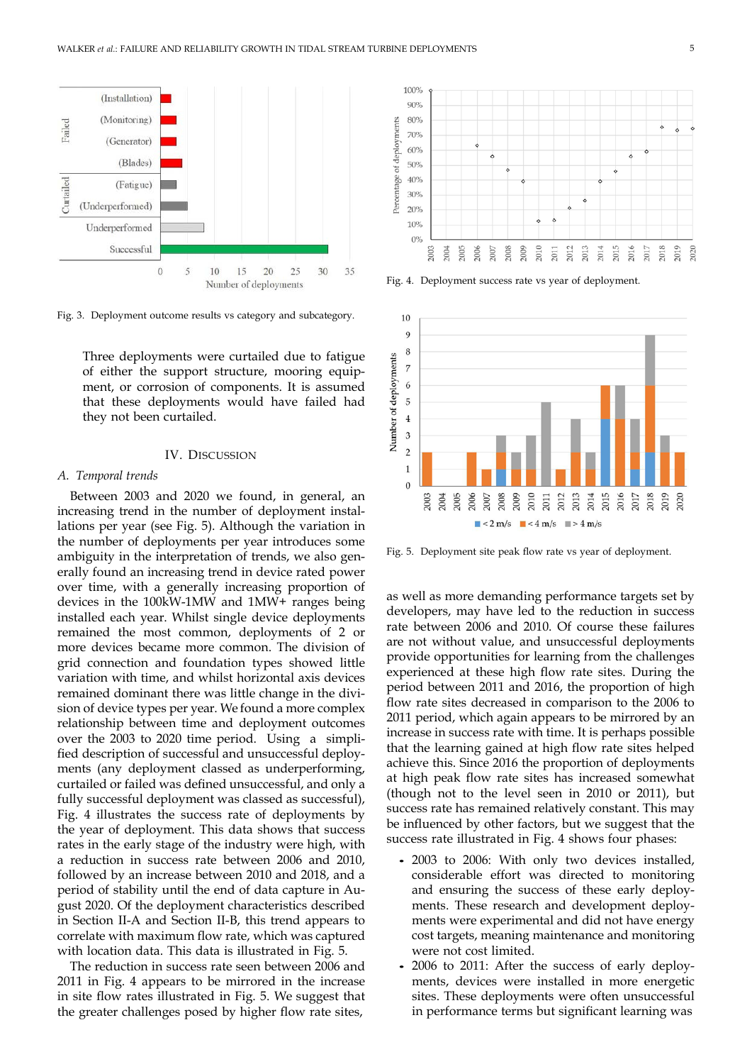

Fig. 3. Deployment outcome results vs category and subcategory.

Three deployments were curtailed due to fatigue of either the support structure, mooring equipment, or corrosion of components. It is assumed that these deployments would have failed had they not been curtailed.

#### IV. DISCUSSION

#### *A. Temporal trends*

Between 2003 and 2020 we found, in general, an increasing trend in the number of deployment installations per year (see Fig. 5). Although the variation in the number of deployments per year introduces some ambiguity in the interpretation of trends, we also generally found an increasing trend in device rated power over time, with a generally increasing proportion of devices in the 100kW-1MW and 1MW+ ranges being installed each year. Whilst single device deployments remained the most common, deployments of 2 or more devices became more common. The division of grid connection and foundation types showed little variation with time, and whilst horizontal axis devices remained dominant there was little change in the division of device types per year. We found a more complex relationship between time and deployment outcomes over the 2003 to 2020 time period. Using a simplified description of successful and unsuccessful deployments (any deployment classed as underperforming, curtailed or failed was defined unsuccessful, and only a fully successful deployment was classed as successful), Fig. 4 illustrates the success rate of deployments by the year of deployment. This data shows that success rates in the early stage of the industry were high, with a reduction in success rate between 2006 and 2010, followed by an increase between 2010 and 2018, and a period of stability until the end of data capture in August 2020. Of the deployment characteristics described in Section II-A and Section II-B, this trend appears to correlate with maximum flow rate, which was captured with location data. This data is illustrated in Fig. 5.

The reduction in success rate seen between 2006 and 2011 in Fig. 4 appears to be mirrored in the increase in site flow rates illustrated in Fig. 5. We suggest that the greater challenges posed by higher flow rate sites,



Fig. 4. Deployment success rate vs year of deployment.



Fig. 5. Deployment site peak flow rate vs year of deployment.

as well as more demanding performance targets set by developers, may have led to the reduction in success rate between 2006 and 2010. Of course these failures are not without value, and unsuccessful deployments provide opportunities for learning from the challenges experienced at these high flow rate sites. During the period between 2011 and 2016, the proportion of high flow rate sites decreased in comparison to the 2006 to 2011 period, which again appears to be mirrored by an increase in success rate with time. It is perhaps possible that the learning gained at high flow rate sites helped achieve this. Since 2016 the proportion of deployments at high peak flow rate sites has increased somewhat (though not to the level seen in 2010 or 2011), but success rate has remained relatively constant. This may be influenced by other factors, but we suggest that the success rate illustrated in Fig. 4 shows four phases:

- 2003 to 2006: With only two devices installed, considerable effort was directed to monitoring and ensuring the success of these early deployments. These research and development deployments were experimental and did not have energy cost targets, meaning maintenance and monitoring were not cost limited.
- 2006 to 2011: After the success of early deployments, devices were installed in more energetic sites. These deployments were often unsuccessful in performance terms but significant learning was